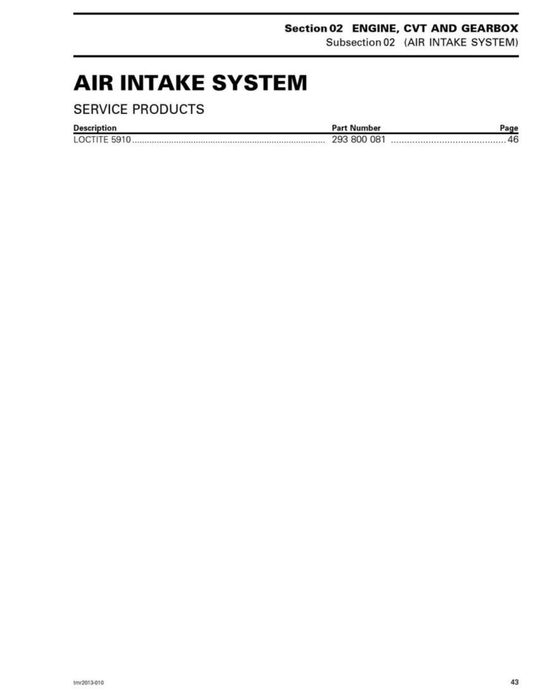### Section 02 ENGINE, CVT AND GEARBOX

Subsection 02 (AIR INTAKE SYSTEM)

### **AIR INTAKE SYSTEM**

### **SERVICE PRODUCTS**

| <b>Description</b>  | <b>Part Number</b> |    |
|---------------------|--------------------|----|
| <b>LOCTITE 5910</b> | 293 800 081        | 46 |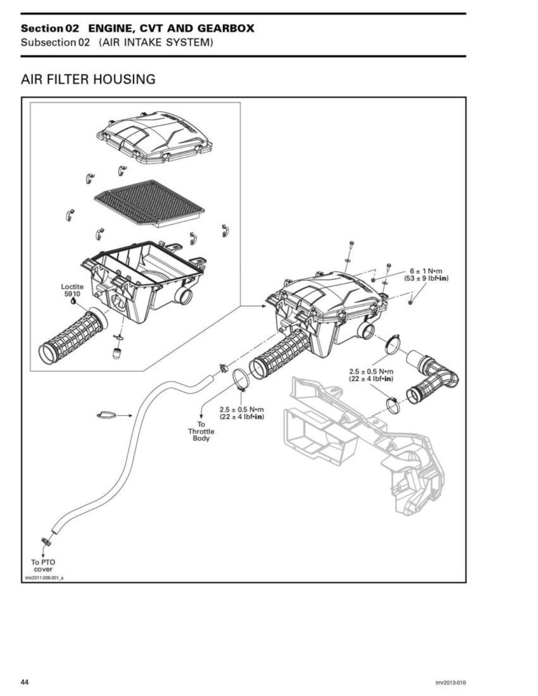# Section 02 ENGINE, CVT AND GEARBOX Section 02 ENGINE, CVT AND GEARBO<br>Subsection 02 (AIR INTAKE SYSTEM) Section 02 ENGINE, CVT AND GEARBO<br>Subsection 02 (AIR INTAKE SYSTEM)<br>AIR FILTER HOUSING

Subsection02 (AIR INTAKE SYSTEM)

### AIR FILTER HOUSING

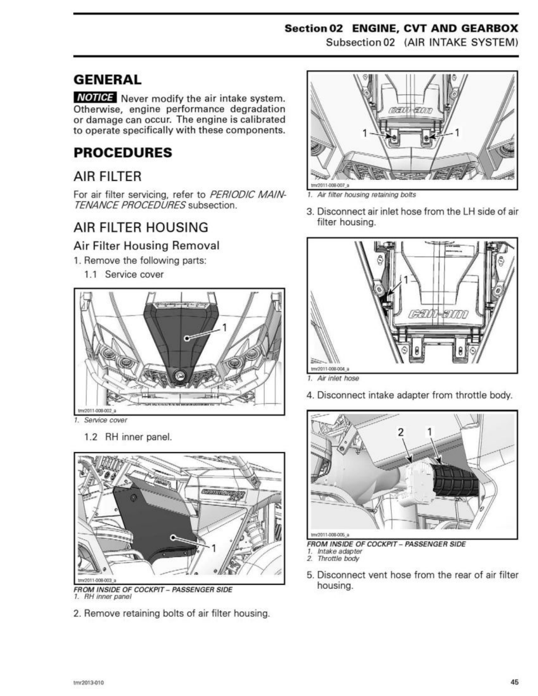## Section 02 ENGINE, CVT AND GEARBOX tion 02 ENGINE, C<br>Subsection 02 (A

Subsection02 (AIR INTAKE SYSTEM)

### GENERAL

**NOTICE** Never modify the air intake system. Otherwise, engine performance degradation or damage can occur. The engine is calibrated to operate specifically with these components. **NOTER NEW NOTER SERVICES**<br>
NOTER Never modif<br>
otherwise, engine per<br>
to operate specifically v<br> **PROCEDURES**<br>
AIR FILTER<br>
For air filter servicing, retrangency of the SERVICE<br>
AIR FILTER HOUS<br>
AIR FILTER HOUS<br>
AIR FILTER

<u> 1989 - Johann Harry Harry Harry Harry Harry Harry Harry Harry Harry Harry Harry Harry Harry Harry Harry Harry</u>

### PROCEDURES

### AIR FILTER

For air filter servicing, refer to PERIODIC MAIN-TENANCE PROCEDURES subsection.

### AIR FILTER HOUSING

### Air Filter Housing Removal

- 1. Remove the following parts:
	- 1.1 Service cover



1. Service cover

1.2 RH inner panel.



 FROM INSIDE OF COCKPIT — PASSENGER SIDE 1. RH inner panel

2. Remove retaining bolts of air filter housing.



3. Disconnect air inlet hose from the LH side of air filter housing. se from<br>
T



1. Air inlet hose

4. Disconnect intake adapter from throttle body.



**FROM INSIDE OF COCKPIT - PASSENGER SIDE** 1. Intake adapter

- 2. Throttle body
- 5. Disconnect vent hose from the rear of air filter housing.